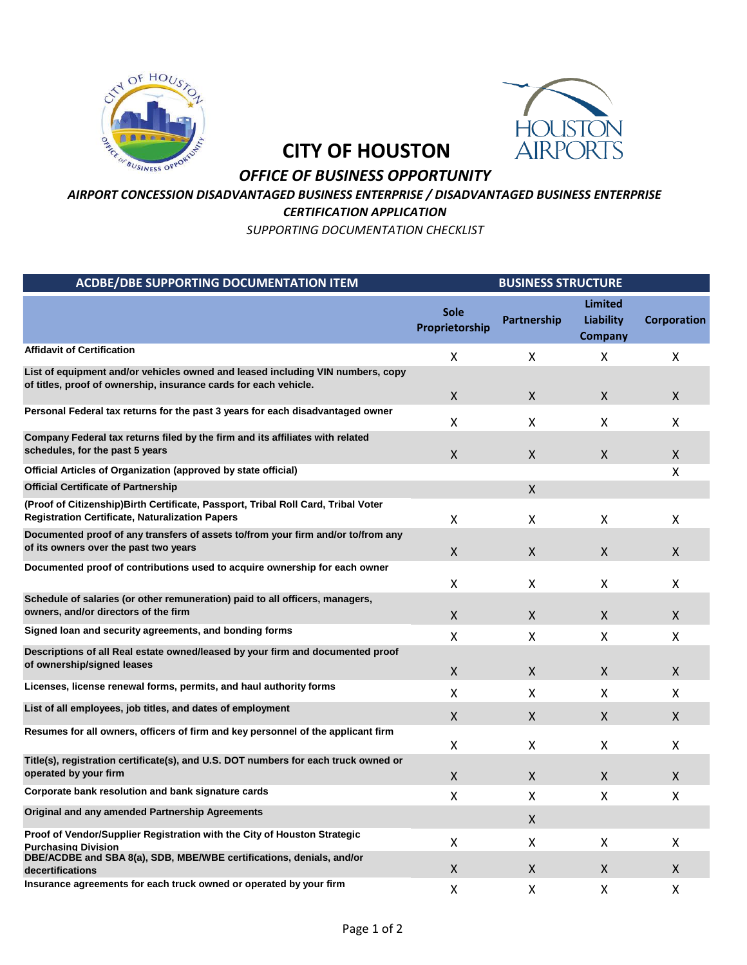



## **CITY OF HOUSTON**

## *OFFICE OF BUSINESS OPPORTUNITY*

## *AIRPORT CONCESSION DISADVANTAGED BUSINESS ENTERPRISE / DISADVANTAGED BUSINESS ENTERPRISE*

*CERTIFICATION APPLICATION*

*SUPPORTING DOCUMENTATION CHECKLIST*

| <b>ACDBE/DBE SUPPORTING DOCUMENTATION ITEM</b>                                                                                                     | <b>BUSINESS STRUCTURE</b>     |              |                                               |                    |
|----------------------------------------------------------------------------------------------------------------------------------------------------|-------------------------------|--------------|-----------------------------------------------|--------------------|
|                                                                                                                                                    | <b>Sole</b><br>Proprietorship | Partnership  | <b>Limited</b><br><b>Liability</b><br>Company | <b>Corporation</b> |
| <b>Affidavit of Certification</b>                                                                                                                  | X                             | x            | X                                             | X                  |
| List of equipment and/or vehicles owned and leased including VIN numbers, copy<br>of titles, proof of ownership, insurance cards for each vehicle. | X                             | X            | X.                                            | X                  |
| Personal Federal tax returns for the past 3 years for each disadvantaged owner                                                                     | x                             | X            | X                                             | X                  |
| Company Federal tax returns filed by the firm and its affiliates with related<br>schedules, for the past 5 years                                   | X.                            | X            | X                                             | X.                 |
| Official Articles of Organization (approved by state official)                                                                                     |                               |              |                                               | x                  |
| <b>Official Certificate of Partnership</b>                                                                                                         |                               | $\mathsf{X}$ |                                               |                    |
| (Proof of Citizenship) Birth Certificate, Passport, Tribal Roll Card, Tribal Voter<br><b>Registration Certificate, Naturalization Papers</b>       | x                             | X            | x                                             | x                  |
| Documented proof of any transfers of assets to/from your firm and/or to/from any<br>of its owners over the past two years                          | X.                            | X.           | X.                                            | X.                 |
| Documented proof of contributions used to acquire ownership for each owner                                                                         | x                             | X.           | X.                                            | x                  |
| Schedule of salaries (or other remuneration) paid to all officers, managers,<br>owners, and/or directors of the firm                               | X                             | X            | X                                             | X                  |
| Signed loan and security agreements, and bonding forms                                                                                             | x                             | X            | X                                             | X                  |
| Descriptions of all Real estate owned/leased by your firm and documented proof<br>of ownership/signed leases                                       | X                             | X            | X                                             | X                  |
| Licenses, license renewal forms, permits, and haul authority forms                                                                                 | Χ                             | X            | x                                             | x                  |
| List of all employees, job titles, and dates of employment                                                                                         | X                             | X            | X                                             | X.                 |
| Resumes for all owners, officers of firm and key personnel of the applicant firm                                                                   | Χ                             | X            | X                                             | X                  |
| Title(s), registration certificate(s), and U.S. DOT numbers for each truck owned or<br>operated by your firm                                       | X                             | X.           | X.                                            | X                  |
| Corporate bank resolution and bank signature cards                                                                                                 | $\mathsf{x}$                  | x            | X                                             | x                  |
| Original and any amended Partnership Agreements                                                                                                    |                               | X.           |                                               |                    |
| Proof of Vendor/Supplier Registration with the City of Houston Strategic<br><b>Purchasing Division</b>                                             | X                             | X            | X                                             | X                  |
| DBE/ACDBE and SBA 8(a), SDB, MBE/WBE certifications, denials, and/or<br>decertifications                                                           | X                             | X.           | X.                                            | X.                 |
| Insurance agreements for each truck owned or operated by your firm                                                                                 | X                             | Χ            | Χ                                             | x                  |